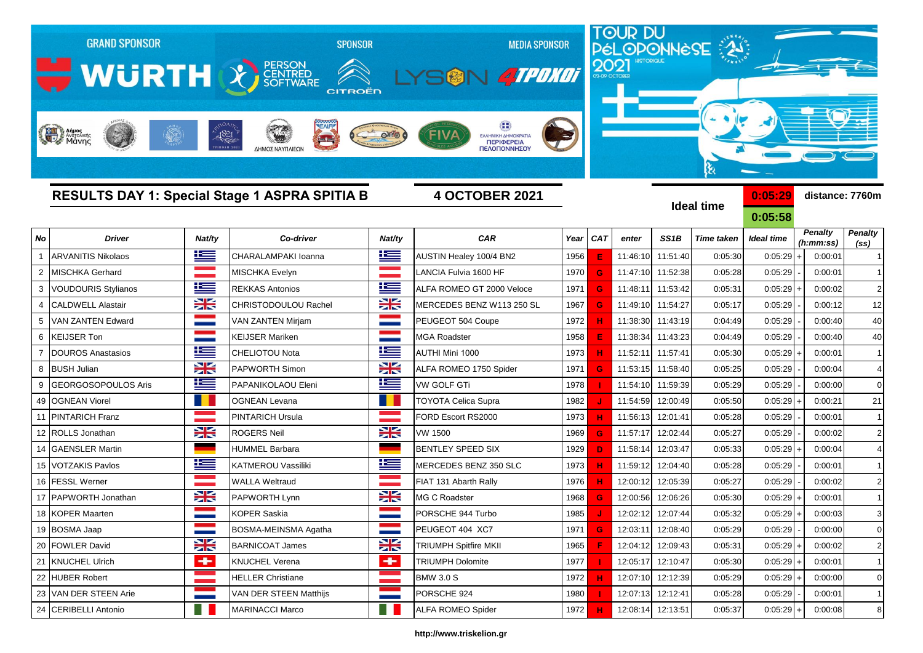| <b>GRAND SPONSOR</b><br><b>SPONSOR</b><br><b>MEDIA SPONSOR</b><br>WURTH & ENTRE<br>V ATPOKOT<br>[一 [湯]<br><b>CITROËN</b><br><b>Hall Anjues</b><br>$-1821$<br>FIVA<br>ΕΛΛΗΝΙΚΗ ΔΗΜΟΚΡΑΤΙΑ<br>$\blacksquare$<br>ΠΕΡΙΦΕΡΕΙΑ<br>ΠΕΛΟΠΟΝΝΗΣΟΥ<br>ΔΗΜΟΣ ΝΑΥΠΛΙΕΩΝ |                                                                               |                       |                          |                       |                              |      | 2021       |                   |                   | TOUR DU<br>PÉLOPONNESE<br>ક્ષ |                    |                             |                                     |  |
|-------------------------------------------------------------------------------------------------------------------------------------------------------------------------------------------------------------------------------------------------------------|-------------------------------------------------------------------------------|-----------------------|--------------------------|-----------------------|------------------------------|------|------------|-------------------|-------------------|-------------------------------|--------------------|-----------------------------|-------------------------------------|--|
|                                                                                                                                                                                                                                                             | <b>RESULTS DAY 1: Special Stage 1 ASPRA SPITIA B</b><br><b>4 OCTOBER 2021</b> |                       |                          |                       |                              |      |            |                   |                   | <b>Ideal time</b>             | 0:05:29<br>0:05:58 |                             | distance: 7760m                     |  |
| No                                                                                                                                                                                                                                                          | <b>Driver</b>                                                                 | Nat/ty                | Co-driver                | Nat/ty                | <b>CAR</b>                   | Year | <b>CAT</b> | enter             | SS <sub>1</sub> B | <b>Time taken</b>             | <b>Ideal time</b>  | <b>Penalty</b><br>(h:mm:ss) | <b>Penalty</b><br>(s <sub>s</sub> ) |  |
|                                                                                                                                                                                                                                                             | <b>ARVANITIS Nikolaos</b>                                                     | <u>ik s</u>           | CHARALAMPAKI Ioanna      | <u>ik –</u>           | AUSTIN Healey 100/4 BN2      | 1956 |            | 11:46:10          | 11:51:40          | 0:05:30                       | 0:05:29            | 0:00:0'                     |                                     |  |
| $\overline{2}$                                                                                                                                                                                                                                              | <b>MISCHKA Gerhard</b>                                                        |                       | MISCHKA Evelyn           |                       | LANCIA Fulvia 1600 HF        | 1970 | G          | 11:47:10          | 11:52:38          | 0:05:28                       | 0:05:29            | 0:00:0'                     |                                     |  |
|                                                                                                                                                                                                                                                             | <b>VOUDOURIS Stylianos</b>                                                    | ٢                     | <b>REKKAS Antonios</b>   | N                     | ALFA ROMEO GT 2000 Veloce    | 1971 | G          | 11:48:11          | 11:53:42          | 0:05:31                       | 0:05:29            | 0:00:02                     | 2 <sub>1</sub>                      |  |
| $\overline{4}$                                                                                                                                                                                                                                              | <b>CALDWELL Alastair</b>                                                      | X                     | CHRISTODOULOU Rachel     | 米                     | MERCEDES BENZ W113 250 SL    | 1967 | G          | 11:49:10          | 11:54:27          | 0:05:17                       | 0:05:29            | 0:00:12                     | 12                                  |  |
|                                                                                                                                                                                                                                                             | VAN ZANTEN Edward                                                             | <b>STATE</b>          | VAN ZANTEN Mirjam        |                       | PEUGEOT 504 Coupe            | 1972 |            | 11:38:30          | 11:43:19          | 0:04:49                       | 0:05:29            | 0:00:40                     | 40                                  |  |
| 6                                                                                                                                                                                                                                                           | <b>KEIJSER Ton</b>                                                            |                       | KEIJSER Mariken          |                       | <b>MGA Roadster</b>          | 1958 |            | 11:38:34          | 11:43:23          | 0:04:49                       | 0:05:29            | 0:00:40                     | 40                                  |  |
|                                                                                                                                                                                                                                                             | <b>DOUROS Anastasios</b>                                                      | ٢                     | CHELIOTOU Nota           | <u>i se</u>           | AUTHI Mini 1000              | 1973 |            | 11:52:11          | 11:57:41          | 0:05:30                       | 0:05:29            | 0:00:0'                     | $\mathbf{1}$                        |  |
| 8                                                                                                                                                                                                                                                           | <b>BUSH Julian</b>                                                            | X                     | PAPWORTH Simon           | X                     | ALFA ROMEO 1750 Spider       | 1971 | G          | 11:53:15          | 11:58:40          | 0:05:25                       | 0:05:29            | 0:00:04                     | $\overline{4}$                      |  |
| 9                                                                                                                                                                                                                                                           | <b>GEORGOSOPOULOS Aris</b>                                                    | <u>ik –</u>           | PAPANIKOLAOU Eleni       | <u>ik a</u>           | VW GOLF GTi                  | 1978 |            | 11:54:10          | 11:59:39          | 0:05:29                       | 0:05:29            | 0:00:00                     | $\overline{0}$                      |  |
| 49                                                                                                                                                                                                                                                          | <b>OGNEAN Viorel</b>                                                          |                       | <b>OGNEAN Levana</b>     |                       | <b>TOYOTA Celica Supra</b>   | 1982 |            | 11:54:59          | 12:00:49          | 0:05:50                       | 0:05:29            | 0:00:2'                     | 21                                  |  |
| 11                                                                                                                                                                                                                                                          | <b>PINTARICH Franz</b>                                                        |                       | <b>PINTARICH Ursula</b>  |                       | FORD Escort RS2000           | 1973 | н          | 11:56:13          | 12:01:41          | 0:05:28                       | 0:05:29            | 0:00:0'                     |                                     |  |
| 12                                                                                                                                                                                                                                                          | <b>ROLLS Jonathan</b>                                                         | X                     | ROGERS Neil              | X                     | VW 1500                      | 1969 | G          | 11:57:17          | 12:02:44          | 0:05:27                       | 0:05:29            | 0:00:02                     | $\overline{2}$                      |  |
| 14                                                                                                                                                                                                                                                          | <b>GAENSLER Martin</b>                                                        |                       | <b>HUMMEL Barbara</b>    |                       | <b>BENTLEY SPEED SIX</b>     | 1929 | D          | 11:58:14          | 12:03:47          | 0:05:33                       | $0:05:29$ .        | 0:00:04                     | $\overline{4}$                      |  |
| 15                                                                                                                                                                                                                                                          | <b>VOTZAKIS Pavlos</b>                                                        | Ľ                     | KATMEROU Vassiliki       | $\mathbf{E}$          | MERCEDES BENZ 350 SLC        | 1973 |            | 11:59:12          | 12:04:40          | 0:05:28                       | 0:05:29            | 0:00:01                     |                                     |  |
| 16                                                                                                                                                                                                                                                          | <b>FESSL Werner</b>                                                           |                       | <b>WALLA Weltraud</b>    |                       | FIAT 131 Abarth Rally        | 1976 |            | 12:00:12          | 12:05:39          | 0:05:27                       | 0:05:29            | 0:00:02                     | $\overline{2}$                      |  |
| 17                                                                                                                                                                                                                                                          | PAPWORTH Jonathan                                                             | X                     | PAPWORTH Lynn            | <b>XK</b>             | <b>MG C Roadster</b>         | 1968 |            | 12:00:56          | 12:06:26          | 0:05:30                       | 0:05:29            | 0:00:01                     |                                     |  |
| 18                                                                                                                                                                                                                                                          | <b>KOPER Maarten</b>                                                          |                       | <b>KOPER Saskia</b>      |                       | PORSCHE 944 Turbo            | 1985 |            | 12:02:12          | 12:07:44          | 0:05:32                       | $0:05:29$ +        | 0:00:03                     |                                     |  |
|                                                                                                                                                                                                                                                             | 19 BOSMA Jaap                                                                 | H                     | BOSMA-MEINSMA Agatha     |                       | PEUGEOT 404 XC7              | 1971 | G          | 12:03:11          | 12:08:40          | 0:05:29                       | 0:05:29            | 0:00:00                     | $\overline{0}$                      |  |
|                                                                                                                                                                                                                                                             | 20 FOWLER David                                                               | X                     | <b>BARNICOAT James</b>   | X                     | <b>TRIUMPH Spitfire MKII</b> | 1965 | F          |                   | 12:04:12 12:09:43 | 0:05:31                       | $0:05:29$ +        | 0:00:02                     | $\overline{2}$                      |  |
|                                                                                                                                                                                                                                                             | 21 KNUCHEL Ulrich                                                             | $\blacktriangleright$ | <b>KNUCHEL Verena</b>    | $\blacktriangleright$ | <b>TRIUMPH Dolomite</b>      | 1977 |            | 12:05:17 12:10:47 |                   | 0:05:30                       | $0:05:29$ +        | 0:00:01                     | $\mathbf{1}$                        |  |
|                                                                                                                                                                                                                                                             | 22 HUBER Robert                                                               |                       | <b>HELLER Christiane</b> |                       | <b>BMW 3.0 S</b>             | 1972 | н.         |                   | 12:07:10 12:12:39 | 0:05:29                       | $0:05:29$ +        | 0:00:00                     | $\overline{0}$                      |  |
|                                                                                                                                                                                                                                                             | 23 VAN DER STEEN Arie                                                         |                       | VAN DER STEEN Matthijs   |                       | PORSCHE 924                  | 1980 |            | 12:07:13 12:12:41 |                   | 0:05:28                       | 0:05:29            | 0:00:01                     | $\overline{1}$                      |  |

### **http://www.triskelion.gr**

24 CERIBELLI Antonio **MARINACCI Marco ALFA ROMEO Spider** 1972 **H** 12:08:14 12:13:51 0:05:37 0:05:29 + 0:00:08 8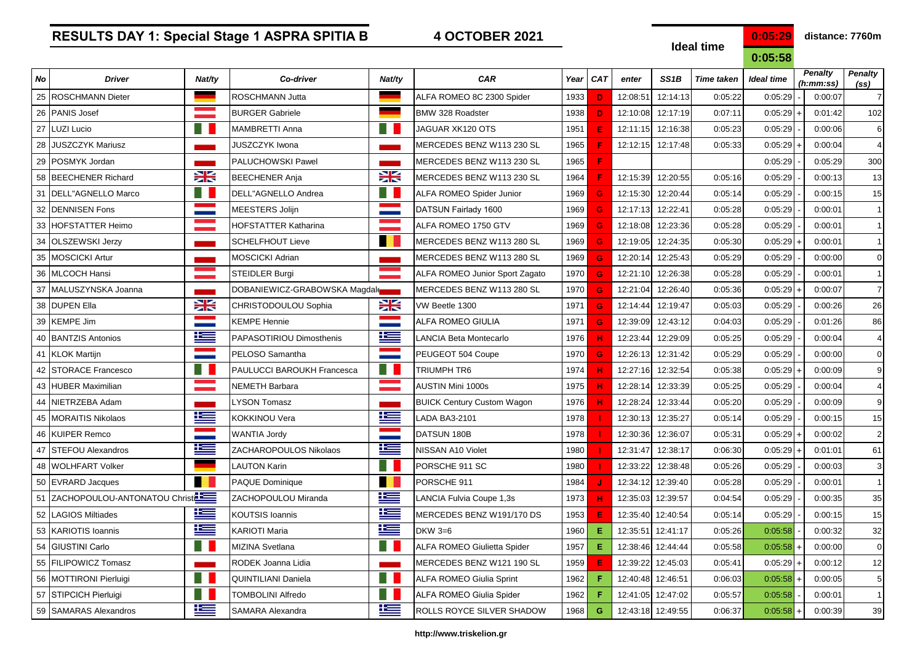### **Ideal time**

**0:05:58**

| No | <b>Driver</b>                   | Nat/ty      | Co-driver                       | Nat/ty    | CAR                                   | Year | <b>CAT</b> | enter    | SS <sub>1</sub> B | <b>Time taken</b> | <b>Ideal time</b> | <b>Penalty</b><br>(h:mm:ss) | <b>Penalty</b><br>(s <sub>s</sub> ) |
|----|---------------------------------|-------------|---------------------------------|-----------|---------------------------------------|------|------------|----------|-------------------|-------------------|-------------------|-----------------------------|-------------------------------------|
|    | 25 ROSCHMANN Dieter             |             | <b>ROSCHMANN Jutta</b>          | ۰         | ALFA ROMEO 8C 2300 Spider             | 1933 | Ð          | 12:08:51 | 12:14:13          | 0:05:22           | 0:05:29           | 0:00:07                     | $\overline{7}$                      |
| 26 | <b>PANIS Josef</b>              |             | <b>BURGER Gabriele</b>          |           | <b>BMW 328 Roadster</b>               | 1938 | D          | 12:10:08 | 12:17:19          | 0:07:11           | 0:05:29           | 0:01:42                     | 102                                 |
| 27 | <b>LUZI Lucio</b>               |             | <b>MAMBRETTI Anna</b>           |           | JAGUAR XK120 OTS                      | 1951 | Æ          | 12:11:15 | 12:16:38          | 0:05:23           | 0:05:29           | 0:00:06                     | 6                                   |
| 28 | <b>JUSZCZYK Mariusz</b>         |             | JUSZCZYK Iwona                  |           | MERCEDES BENZ W113 230 SL             | 1965 |            | 12:12:15 | 12:17:48          | 0:05:33           | 0:05:29           | 0:00:04                     | $\overline{4}$                      |
| 29 | POSMYK Jordan                   |             | PALUCHOWSKI Pawel               |           | MERCEDES BENZ W113 230 SL             | 1965 | F          |          |                   |                   | 0:05:29           | 0:05:29                     | 300                                 |
|    | 58 BEECHENER Richard            | 兴           | <b>BEECHENER Anja</b>           | <b>XX</b> | IMERCEDES BENZ W113 230 SL            | 1964 |            | 12:15:39 | 12:20:55          | 0:05:16           | 0:05:29           | 0:00:13                     | 13                                  |
|    | 31   DELL"AGNELLO Marco         | - 11        | DELL"AGNELLO Andrea             |           | <b>ALFA ROMEO Spider Junior</b>       | 1969 | G          | 12:15:30 | 12:20:44          | 0:05:14           | 0:05:29           | 0:00:15                     | 15                                  |
|    | 32 DENNISEN Fons                |             | <b>MEESTERS Jolijn</b>          |           | DATSUN Fairlady 1600                  | 1969 | G          | 12:17:13 | 12:22:41          | 0:05:28           | 0:05:29           | 0:00:01                     | 1                                   |
| 33 | <b>HOFSTATTER Heimo</b>         |             | <b>HOFSTATTER Katharina</b>     |           | ALFA ROMEO 1750 GTV                   | 1969 | G          | 12:18:08 | 12:23:36          | 0:05:28           | 0:05:29           | 0:00:01                     | 1                                   |
| 34 | <b>OLSZEWSKI Jerzy</b>          |             | <b>SCHELFHOUT Lieve</b>         |           | MERCEDES BENZ W113 280 SL             | 1969 | G          | 12:19:05 | 12:24:35          | 0:05:30           | 0:05:29           | 0:00:01                     | 1                                   |
|    | 35 MOSCICKI Artur               |             | <b>MOSCICKI Adrian</b>          |           | MERCEDES BENZ W113 280 SL             | 1969 | G          | 12:20:14 | 12:25:43          | 0:05:29           | 0:05:29           | 0:00:00                     | $\Omega$                            |
| 36 | <b>MLCOCH Hansi</b>             |             | <b>STEIDLER Burgi</b>           |           | <b>ALFA ROMEO Junior Sport Zagato</b> | 1970 | G          | 12:21:10 | 12:26:38          | 0:05:28           | 0:05:29           | 0:00:01                     | 1                                   |
| 37 | MALUSZYNSKA Joanna              |             | DOBANIEWICZ-GRABOWSKA Magdals   |           | MERCEDES BENZ W113 280 SL             | 1970 | G          | 12:21:04 | 12:26:40          | 0:05:36           | 0:05:29           | 0:00:07                     | $\overline{7}$                      |
| 38 | <b>DUPEN Ella</b>               | 23          | CHRISTODOULOU Sophia            | X         | VW Beetle 1300                        | 1971 | G          | 12:14:44 | 12:19:47          | 0:05:03           | 0:05:29           | 0:00:26                     | 26                                  |
| 39 | <b>KEMPE Jim</b>                |             | <b>KEMPE Hennie</b>             |           | <b>ALFA ROMEO GIULIA</b>              | 1971 | G          | 12:39:09 | 12:43:12          | 0:04:03           | 0:05:29           | 0:01:26                     | 86                                  |
|    | 40   BANTZIS Antonios           | <u>ik –</u> | <b>PAPASOTIRIOU Dimosthenis</b> | F         | LANCIA Beta Montecarlo                | 1976 | ж          | 12:23:44 | 12:29:09          | 0:05:25           | 0:05:29           | 0:00:04                     | $\overline{4}$                      |
|    | 41 KLOK Martijn                 |             | PELOSO Samantha                 |           | PEUGEOT 504 Coupe                     | 1970 | G          | 12:26:13 | 12:31:42          | 0:05:29           | 0:05:29           | 0:00:00                     | $\mathbf 0$                         |
| 42 | <b>STORACE Francesco</b>        |             | PAULUCCI BAROUKH Francesca      |           | TRIUMPH TR6                           | 1974 |            | 12:27:16 | 12:32:54          | 0:05:38           | 0:05:29           | 0:00:09                     | 9                                   |
| 43 | <b>HUBER Maximilian</b>         |             | <b>NEMETH Barbara</b>           |           | <b>AUSTIN Mini 1000s</b>              | 1975 |            | 12:28:14 | 12:33:39          | 0:05:25           | 0:05:29           | 0:00:04                     | $\overline{4}$                      |
| 44 | NIETRZEBA Adam                  |             | <b>LYSON Tomasz</b>             |           | <b>BUICK Century Custom Wagon</b>     | 1976 |            | 12:28:24 | 12:33:44          | 0:05:20           | 0:05:29           | 0:00:09                     | 9                                   |
|    | 45   MORAITIS Nikolaos          | Ħ           | <b>KOKKINOU Vera</b>            | ľ         | LADA BA3-2101                         | 1978 |            | 12:30:13 | 12:35:27          | 0:05:14           | 0:05:29           | 0:00:15                     | 15                                  |
| 46 | <b>KUIPER Remco</b>             |             | <b>WANTIA Jordy</b>             |           | DATSUN 180B                           | 1978 |            | 12:30:36 | 12:36:07          | 0:05:31           | 0:05:29           | 0:00:02                     | $\overline{2}$                      |
| 47 | <b>STEFOU Alexandros</b>        | Ħ           | ZACHAROPOULOS Nikolaos          | ĥ         | NISSAN A10 Violet                     | 1980 |            | 12:31:47 | 12:38:17          | 0:06:30           | 0:05:29           | 0:01:01                     | 61                                  |
| 48 | <b>WOLHFART Volker</b>          |             | <b>LAUTON Karin</b>             |           | PORSCHE 911 SC                        | 1980 |            | 12:33:22 | 12:38:48          | 0:05:26           | 0:05:29           | 0:00:03                     | 3                                   |
|    | 50 EVRARD Jacques               | n l         | <b>PAQUE Dominique</b>          |           | PORSCHE 911                           | 1984 |            | 12:34:12 | 12:39:40          | 0:05:28           | 0:05:29           | 0:00:01                     | 1                                   |
|    | 51 ZACHOPOULOU-ANTONATOU Christ |             | ZACHOPOULOU Miranda             | Ħ         | LANCIA Fulvia Coupe 1,3s              | 1973 |            | 12:35:03 | 12:39:57          | 0:04:54           | 0:05:29           | 0:00:35                     | 35                                  |
| 52 | <b>LAGIOS Miltiades</b>         | 连           | <b>KOUTSIS Ioannis</b>          | Ľ         | MERCEDES BENZ W191/170 DS             | 1953 | E          | 12:35:40 | 12:40:54          | 0:05:14           | 0:05:29           | 0:00:15                     | 15                                  |
| 53 | <b>KARIOTIS Ioannis</b>         | <u>r </u>   | <b>KARIOTI Maria</b>            | E         | DKW 3=6                               | 1960 | Е          | 12:35:51 | 12:41:17          | 0:05:26           | 0:05:58           | 0:00:32                     | 32                                  |
| 54 | <b>GIUSTINI Carlo</b>           | m           | MIZINA Svetlana                 | a se      | <b>ALFA ROMEO Giulietta Spider</b>    | 1957 | Е          | 12:38:46 | 12:44:44          | 0:05:58           | 0:05:58           | 0:00:00                     | $\mathbf 0$                         |
|    | 55 FILIPOWICZ Tomasz            |             | RODEK Joanna Lidia              |           | MERCEDES BENZ W121 190 SL             | 1959 | E          | 12:39:22 | 12:45:03          | 0:05:41           | 0:05:29           | 0:00:12                     | 12                                  |
|    | 56 MOTTIRONI Pierluigi          | H.          | QUINTILIANI Daniela             | H I       | <b>ALFA ROMEO Giulia Sprint</b>       | 1962 | Е          | 12:40:48 | 12:46:51          | 0:06:03           | 0:05:58           | 0:00:05                     | 5                                   |
| 57 | <b>STIPCICH Pierluigi</b>       |             | <b>TOMBOLINI Alfredo</b>        |           | <b>ALFA ROMEO Giulia Spider</b>       | 1962 |            | 12:41:05 | 12:47:02          | 0:05:57           | 0:05:58           | 0:00:01                     | $\vert$ 1                           |
|    | 59 SAMARAS Alexandros           | ł           | <b>SAMARA Alexandra</b>         | æ         | <b>ROLLS ROYCE SILVER SHADOW</b>      | 1968 | G          |          | 12:43:18 12:49:55 | 0:06:37           | $0:05:58$ +       | 0:00:39                     | 39                                  |

### **http://www.triskelion.gr**